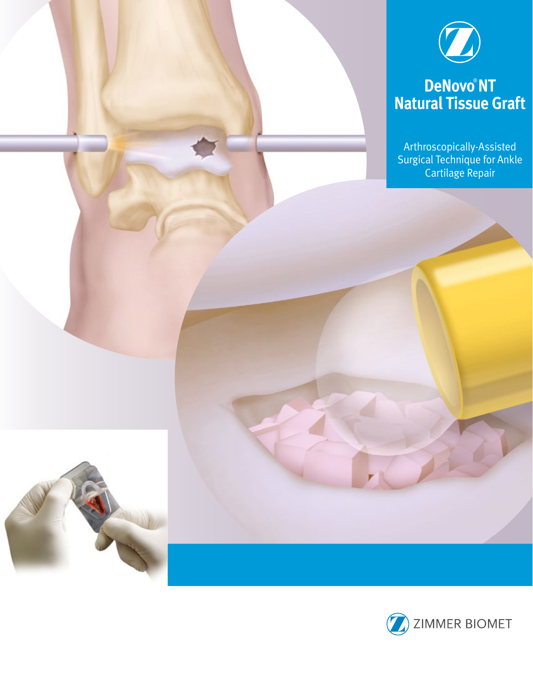

# **DeNovo**® **NT Natural Tissue Graft**

Arthroscopically-Assisted Surgical Technique for Ankle Cartilage Repair



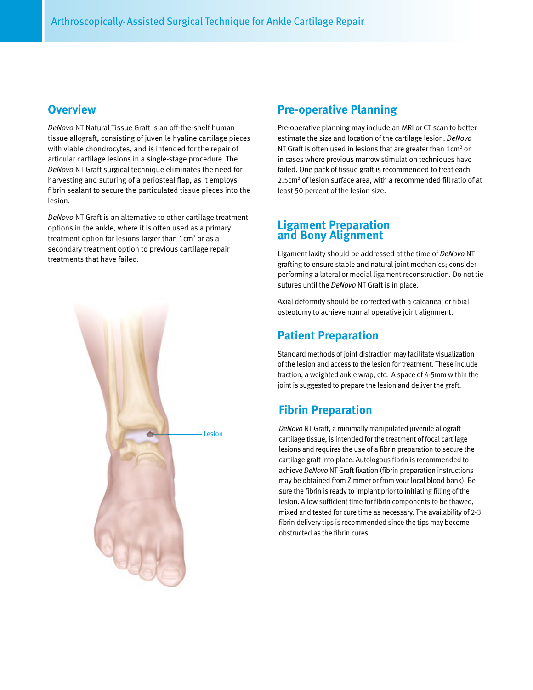### **Overview**

*DeNovo* NT Natural Tissue Graft is an off-the-shelf human tissue allograft, consisting of juvenile hyaline cartilage pieces with viable chondrocytes, and is intended for the repair of articular cartilage lesions in a single-stage procedure. The *DeNovo* NT Graft surgical technique eliminates the need for harvesting and suturing of a periosteal flap, as it employs fibrin sealant to secure the particulated tissue pieces into the lesion.

*DeNovo* NT Graft is an alternative to other cartilage treatment options in the ankle, where it is often used as a primary treatment option for lesions larger than  $1$ cm<sup>2</sup> or as a secondary treatment option to previous cartilage repair treatments that have failed.



### **Pre-operative Planning**

Pre-operative planning may include an MRI or CT scan to better estimate the size and location of the cartilage lesion. *DeNovo* NT Graft is often used in lesions that are greater than  $1 \text{cm}^2$  or in cases where previous marrow stimulation techniques have failed. One pack of tissue graft is recommended to treat each 2.5cm<sup>2</sup> of lesion surface area, with a recommended fill ratio of at least 50 percent of the lesion size.

### **Ligament Preparation and Bony Alignment**

Ligament laxity should be addressed at the time of *DeNovo* NT grafting to ensure stable and natural joint mechanics; consider performing a lateral or medial ligament reconstruction. Do not tie sutures until the *DeNovo* NT Graft is in place.

Axial deformity should be corrected with a calcaneal or tibial osteotomy to achieve normal operative joint alignment.

### **Patient Preparation**

Standard methods of joint distraction may facilitate visualization of the lesion and access to the lesion for treatment. These include traction, a weighted ankle wrap, etc. A space of 4-5mm within the joint is suggested to prepare the lesion and deliver the graft.

### **Fibrin Preparation**

*DeNovo* NT Graft, a minimally manipulated juvenile allograft cartilage tissue, is intended for the treatment of focal cartilage lesions and requires the use of a fibrin preparation to secure the cartilage graft into place. Autologous fibrin is recommended to achieve *DeNovo* NT Graft fixation (fibrin preparation instructions may be obtained from Zimmer or from your local blood bank). Be sure the fibrin is ready to implant prior to initiating filling of the lesion. Allow sufficient time for fibrin components to be thawed, mixed and tested for cure time as necessary. The availability of 2-3 fibrin delivery tips is recommended since the tips may become obstructed as the fibrin cures.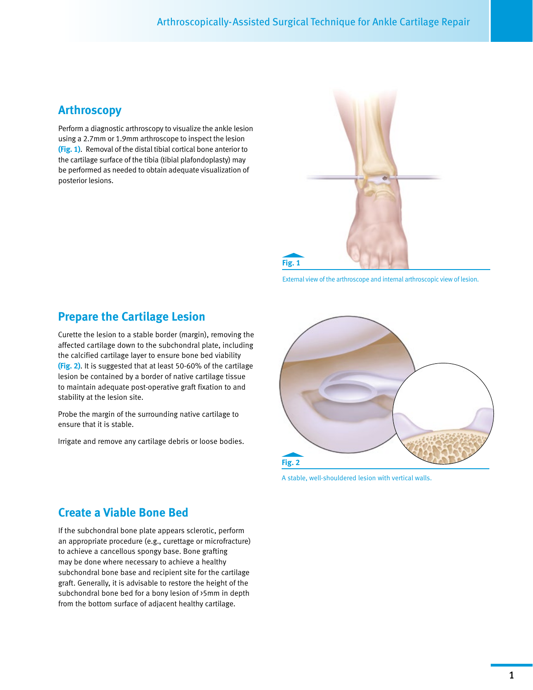### **Arthroscopy**

Perform a diagnostic arthroscopy to visualize the ankle lesion using a 2.7mm or 1.9mm arthroscope to inspect the lesion **(Fig. 1)**. Removal of the distal tibial cortical bone anterior to the cartilage surface of the tibia (tibial plafondoplasty) may be performed as needed to obtain adequate visualization of posterior lesions.



External view of the arthroscope and internal arthroscopic view of lesion.

# **Prepare the Cartilage Lesion**

Curette the lesion to a stable border (margin), removing the affected cartilage down to the subchondral plate, including the calcified cartilage layer to ensure bone bed viability **(Fig. 2)**. It is suggested that at least 50-60% of the cartilage lesion be contained by a border of native cartilage tissue to maintain adequate post-operative graft fixation to and stability at the lesion site.

Probe the margin of the surrounding native cartilage to ensure that it is stable.

Irrigate and remove any cartilage debris or loose bodies.



A stable, well-shouldered lesion with vertical walls.

### **Create a Viable Bone Bed**

If the subchondral bone plate appears sclerotic, perform an appropriate procedure (e.g., curettage or microfracture) to achieve a cancellous spongy base. Bone grafting may be done where necessary to achieve a healthy subchondral bone base and recipient site for the cartilage graft. Generally, it is advisable to restore the height of the subchondral bone bed for a bony lesion of >5mm in depth from the bottom surface of adjacent healthy cartilage.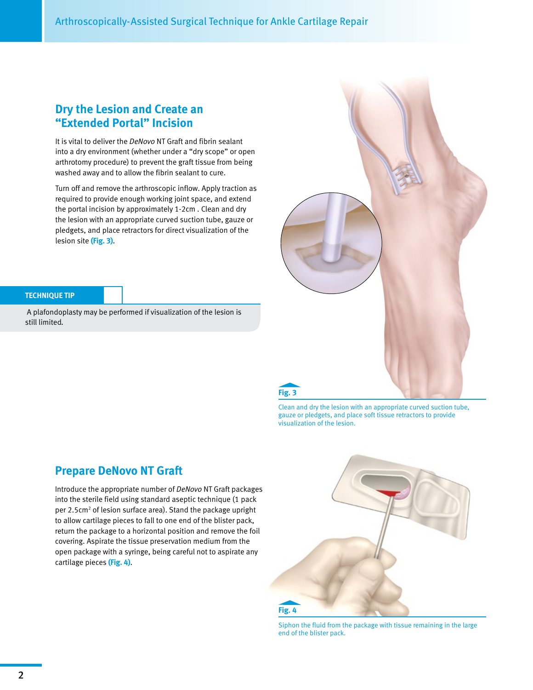### **Dry the Lesion and Create an "Extended Portal" Incision**

It is vital to deliver the *DeNovo* NT Graft and fibrin sealant into a dry environment (whether under a "dry scope" or open arthrotomy procedure) to prevent the graft tissue from being washed away and to allow the fibrin sealant to cure.

Turn off and remove the arthroscopic inflow. Apply traction as required to provide enough working joint space, and extend the portal incision by approximately 1-2cm . Clean and dry the lesion with an appropriate curved suction tube, gauze or pledgets, and place retractors for direct visualization of the lesion site **(Fig. 3)**.



#### **TECHNIQUE TIP**

 A plafondoplasty may be performed if visualization of the lesion is still limited*.*

Clean and dry the lesion with an appropriate curved suction tube, gauze or pledgets, and place soft tissue retractors to provide visualization of the lesion.

### **Prepare DeNovo NT Graft**

Introduce the appropriate number of *DeNovo* NT Graft packages into the sterile field using standard aseptic technique (1 pack per 2.5cm<sup>2</sup> of lesion surface area). Stand the package upright to allow cartilage pieces to fall to one end of the blister pack, return the package to a horizontal position and remove the foil covering. Aspirate the tissue preservation medium from the open package with a syringe, being careful not to aspirate any cartilage pieces **(Fig. 4)**.



Siphon the fluid from the package with tissue remaining in the large end of the blister pack.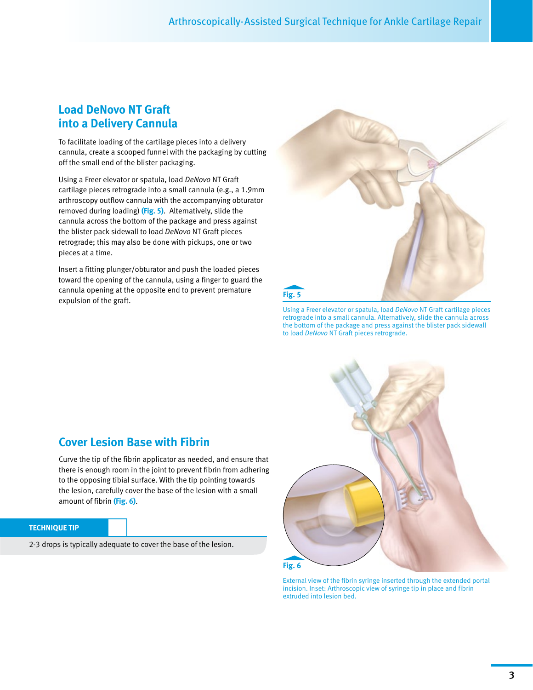### **Load DeNovo NT Graft into a Delivery Cannula**

To facilitate loading of the cartilage pieces into a delivery cannula, create a scooped funnel with the packaging by cutting off the small end of the blister packaging.

Using a Freer elevator or spatula, load *DeNovo* NT Graft cartilage pieces retrograde into a small cannula (e.g., a 1.9mm arthroscopy outflow cannula with the accompanying obturator removed during loading) **(Fig. 5)**. Alternatively, slide the cannula across the bottom of the package and press against the blister pack sidewall to load *DeNovo* NT Graft pieces retrograde; this may also be done with pickups, one or two pieces at a time.

Insert a fitting plunger/obturator and push the loaded pieces toward the opening of the cannula, using a finger to guard the cannula opening at the opposite end to prevent premature expulsion of the graft.



Using a Freer elevator or spatula, load *DeNovo* NT Graft cartilage pieces retrograde into a small cannula. Alternatively, slide the cannula across the bottom of the package and press against the blister pack sidewall to load *DeNovo* NT Graft pieces retrograde.

# **Cover Lesion Base with Fibrin**

Curve the tip of the fibrin applicator as needed, and ensure that there is enough room in the joint to prevent fibrin from adhering to the opposing tibial surface. With the tip pointing towards the lesion, carefully cover the base of the lesion with a small amount of fibrin **(Fig. 6)**.

#### **TECHNIQUE TIP**

2-3 drops is typically adequate to cover the base of the lesion.



External view of the fibrin syringe inserted through the extended portal incision. Inset: Arthroscopic view of syringe tip in place and fibrin extruded into lesion bed.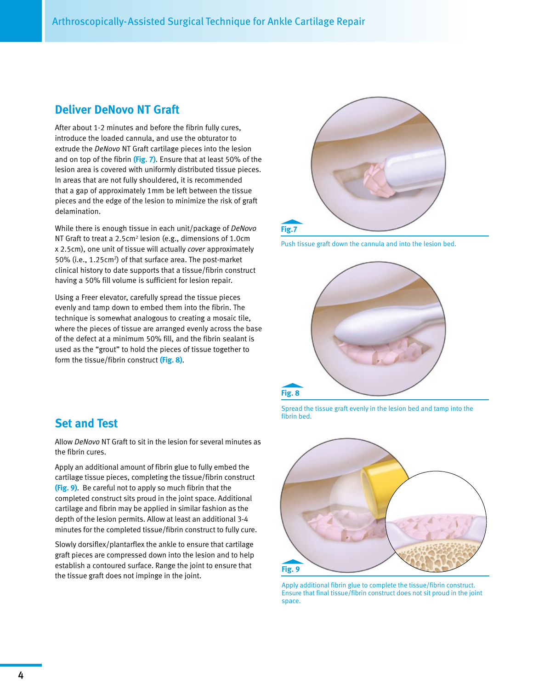### **Deliver DeNovo NT Graft**

After about 1-2 minutes and before the fibrin fully cures, introduce the loaded cannula, and use the obturator to extrude the *DeNovo* NT Graft cartilage pieces into the lesion and on top of the fibrin **(Fig. 7)**. Ensure that at least 50% of the lesion area is covered with uniformly distributed tissue pieces. In areas that are not fully shouldered, it is recommended that a gap of approximately 1mm be left between the tissue pieces and the edge of the lesion to minimize the risk of graft delamination.

While there is enough tissue in each unit/package of *DeNovo* NT Graft to treat a  $2.5$ cm<sup>2</sup> lesion (e.g., dimensions of  $1.0$ cm x 2.5cm), one unit of tissue will actually *cover* approximately 50% (i.e., 1.25cm<sup>2</sup>) of that surface area. The post-market clinical history to date supports that a tissue/fibrin construct having a 50% fill volume is sufficient for lesion repair.

Using a Freer elevator, carefully spread the tissue pieces evenly and tamp down to embed them into the fibrin. The technique is somewhat analogous to creating a mosaic tile, where the pieces of tissue are arranged evenly across the base of the defect at a minimum 50% fill, and the fibrin sealant is used as the "grout" to hold the pieces of tissue together to form the tissue/fibrin construct **(Fig. 8)**.



Push tissue graft down the cannula and into the lesion bed.



Spread the tissue graft evenly in the lesion bed and tamp into the fibrin bed.



Apply additional fibrin glue to complete the tissue/fibrin construct. Ensure that final tissue/fibrin construct does not sit proud in the joint space.

### **Set and Test**

Allow *DeNovo* NT Graft to sit in the lesion for several minutes as the fibrin cures.

Apply an additional amount of fibrin glue to fully embed the cartilage tissue pieces, completing the tissue/fibrin construct **(Fig. 9)**. Be careful not to apply so much fibrin that the completed construct sits proud in the joint space. Additional cartilage and fibrin may be applied in similar fashion as the depth of the lesion permits. Allow at least an additional 3-4 minutes for the completed tissue/fibrin construct to fully cure.

Slowly dorsiflex/plantarflex the ankle to ensure that cartilage graft pieces are compressed down into the lesion and to help establish a contoured surface. Range the joint to ensure that the tissue graft does not impinge in the joint.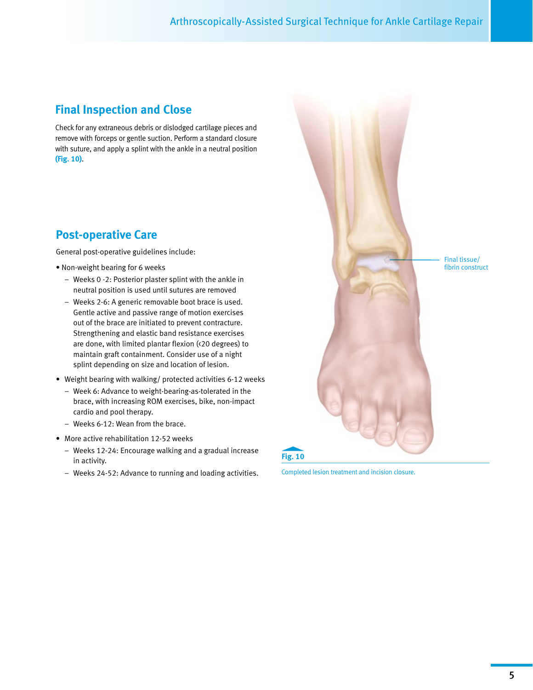# **Final Inspection and Close**

Check for any extraneous debris or dislodged cartilage pieces and remove with forceps or gentle suction. Perform a standard closure with suture, and apply a splint with the ankle in a neutral position **(Fig. 10)**.

### **Post-operative Care**

General post-operative guidelines include:

- Non-weight bearing for 6 weeks
	- Weeks 0 -2: Posterior plaster splint with the ankle in neutral position is used until sutures are removed
	- Weeks 2-6: A generic removable boot brace is used. Gentle active and passive range of motion exercises out of the brace are initiated to prevent contracture. Strengthening and elastic band resistance exercises are done, with limited plantar flexion (<20 degrees) to maintain graft containment. Consider use of a night splint depending on size and location of lesion.
- Weight bearing with walking/ protected activities 6-12 weeks
	- Week 6: Advance to weight-bearing-as-tolerated in the brace, with increasing ROM exercises, bike, non-impact cardio and pool therapy.
	- Weeks 6-12: Wean from the brace.
- More active rehabilitation 12-52 weeks
	- Weeks 12-24: Encourage walking and a gradual increase in activity.
	- Weeks 24-52: Advance to running and loading activities. Completed lesion treatment and incision closure.